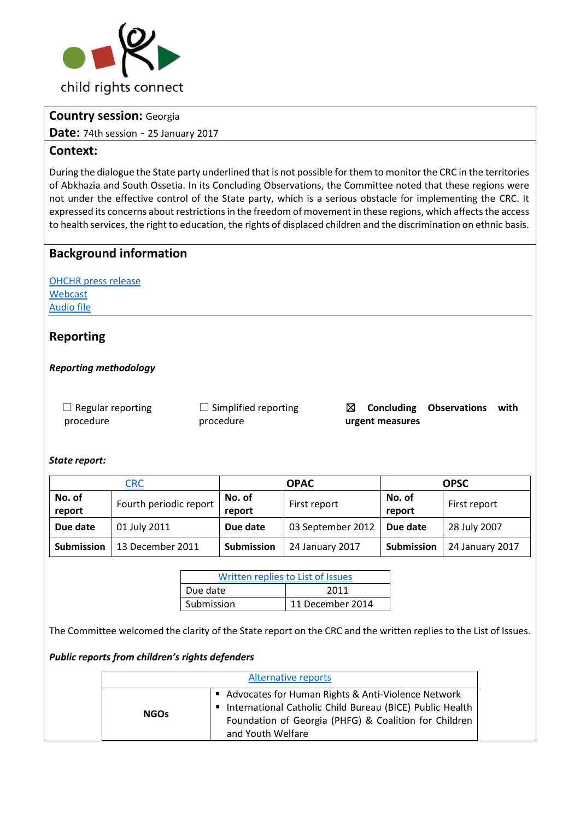

## **Country session:** Georgia

**Date:** 74th session - 25 January 2017

## **Context:**

During the dialogue the State party underlined that is not possible for them to monitor the CRC in the territories of Abkhazia and South Ossetia. In its Concluding Observations, the Committee noted that these regions were not under the effective control of the State party, which is a serious obstacle for implementing the CRC. It expressed its concerns about restrictions in the freedom of movement in these regions, which affects the access to health services, the right to education, the rights of displaced children and the discrimination on ethnic basis.

## **Background information**

[OHCHR press release](http://bit.ly/2kDZsD5) [Webcast](http://bit.ly/2kQ8zvX) [Audio file](http://bit.ly/2kPQLB6)

## **Reporting**

### *Reporting methodology*

 $\Box$  Regular reporting procedure

 $\Box$  Simplified reporting procedure

☒ **Concluding Observations with urgent measures**

### *State report:*

| CRC               |                        | <b>OPAC</b>       |                   | <b>OPSC</b> |                 |
|-------------------|------------------------|-------------------|-------------------|-------------|-----------------|
| No. of            | Fourth periodic report | No. of            | First report      | No. of      | First report    |
| report            |                        | report            |                   | report      |                 |
| Due date          | 01 July 2011           | Due date          | 03 September 2012 | Due date    | 28 July 2007    |
| <b>Submission</b> | 13 December 2011       | <b>Submission</b> | 24 January 2017   | Submission  | 24 January 2017 |

| Written replies to List of Issues |                  |  |
|-----------------------------------|------------------|--|
| Due date                          | 2011             |  |
| Submission                        | 11 December 2014 |  |

The Committee welcomed the clarity of the State report on the CRC and the written replies to the List of Issues.

### *Public reports from children's rights defenders*

| Alternative reports |                                                                                                                                                                                                |  |
|---------------------|------------------------------------------------------------------------------------------------------------------------------------------------------------------------------------------------|--|
| <b>NGOs</b>         | ■ Advocates for Human Rights & Anti-Violence Network<br>International Catholic Child Bureau (BICE) Public Health<br>Foundation of Georgia (PHFG) & Coalition for Children<br>and Youth Welfare |  |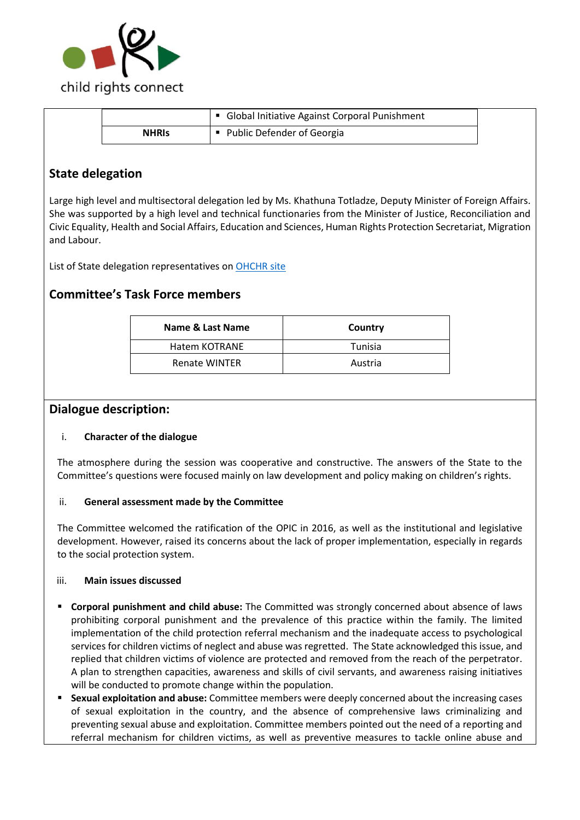

|              | <b>Global Initiative Against Corporal Punishment</b> |  |
|--------------|------------------------------------------------------|--|
| <b>NHRIS</b> | • Public Defender of Georgia                         |  |

## **State delegation**

Large high level and multisectoral delegation led by Ms. Khathuna Totladze, Deputy Minister of Foreign Affairs. She was supported by a high level and technical functionaries from the Minister of Justice, Reconciliation and Civic Equality, Health and Social Affairs, Education and Sciences, Human Rights Protection Secretariat, Migration and Labour.

List of State delegation representatives on [OHCHR site](http://bit.ly/2lmdPcA) 

## **Committee's Task Force members**

| Name & Last Name     | Country |  |
|----------------------|---------|--|
| Hatem KOTRANE        | Tunisia |  |
| <b>Renate WINTER</b> | Austria |  |

### **Dialogue description:**

#### i. **Character of the dialogue**

The atmosphere during the session was cooperative and constructive. The answers of the State to the Committee's questions were focused mainly on law development and policy making on children's rights.

#### ii. **General assessment made by the Committee**

The Committee welcomed the ratification of the OPIC in 2016, as well as the institutional and legislative development. However, raised its concerns about the lack of proper implementation, especially in regards to the social protection system.

#### iii. **Main issues discussed**

- **Corporal punishment and child abuse:** The Committed was strongly concerned about absence of laws prohibiting corporal punishment and the prevalence of this practice within the family. The limited implementation of the child protection referral mechanism and the inadequate access to psychological services for children victims of neglect and abuse was regretted. The State acknowledged this issue, and replied that children victims of violence are protected and removed from the reach of the perpetrator. A plan to strengthen capacities, awareness and skills of civil servants, and awareness raising initiatives will be conducted to promote change within the population.
- **Sexual exploitation and abuse:** Committee members were deeply concerned about the increasing cases of sexual exploitation in the country, and the absence of comprehensive laws criminalizing and preventing sexual abuse and exploitation. Committee members pointed out the need of a reporting and referral mechanism for children victims, as well as preventive measures to tackle online abuse and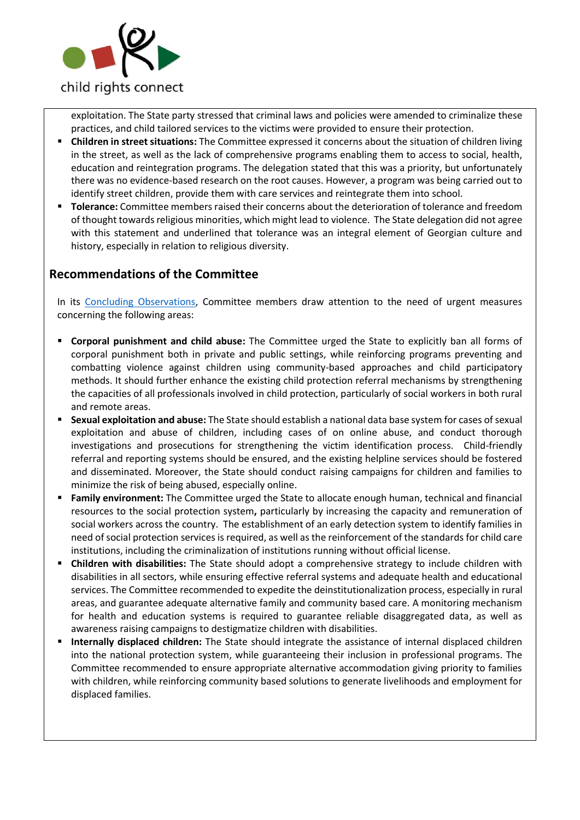

exploitation. The State party stressed that criminal laws and policies were amended to criminalize these practices, and child tailored services to the victims were provided to ensure their protection.

- **Children in street situations:** The Committee expressed it concerns about the situation of children living in the street, as well as the lack of comprehensive programs enabling them to access to social, health, education and reintegration programs. The delegation stated that this was a priority, but unfortunately there was no evidence-based research on the root causes. However, a program was being carried out to identify street children, provide them with care services and reintegrate them into school.
- **Tolerance:** Committee members raised their concerns about the deterioration of tolerance and freedom of thought towards religious minorities, which might lead to violence. The State delegation did not agree with this statement and underlined that tolerance was an integral element of Georgian culture and history, especially in relation to religious diversity.

## **Recommendations of the Committee**

In its [Concluding Observations,](http://bit.ly/2lY5nBZ) Committee members draw attention to the need of urgent measures concerning the following areas:

- **Corporal punishment and child abuse:** The Committee urged the State to explicitly ban all forms of corporal punishment both in private and public settings, while reinforcing programs preventing and combatting violence against children using community-based approaches and child participatory methods. It should further enhance the existing child protection referral mechanisms by strengthening the capacities of all professionals involved in child protection, particularly of social workers in both rural and remote areas.
- **Sexual exploitation and abuse:** The State should establish a national data base system for cases of sexual exploitation and abuse of children, including cases of on online abuse, and conduct thorough investigations and prosecutions for strengthening the victim identification process. Child-friendly referral and reporting systems should be ensured, and the existing helpline services should be fostered and disseminated. Moreover, the State should conduct raising campaigns for children and families to minimize the risk of being abused, especially online.
- **Family environment:** The Committee urged the State to allocate enough human, technical and financial resources to the social protection system**,** particularly by increasing the capacity and remuneration of social workers across the country. The establishment of an early detection system to identify families in need of social protection services is required, as well as the reinforcement of the standards for child care institutions, including the criminalization of institutions running without official license.
- **Children with disabilities:** The State should adopt a comprehensive strategy to include children with disabilities in all sectors, while ensuring effective referral systems and adequate health and educational services. The Committee recommended to expedite the deinstitutionalization process, especially in rural areas, and guarantee adequate alternative family and community based care. A monitoring mechanism for health and education systems is required to guarantee reliable disaggregated data, as well as awareness raising campaigns to destigmatize children with disabilities.
- **Internally displaced children:** The State should integrate the assistance of internal displaced children into the national protection system, while guaranteeing their inclusion in professional programs. The Committee recommended to ensure appropriate alternative accommodation giving priority to families with children, while reinforcing community based solutions to generate livelihoods and employment for displaced families.